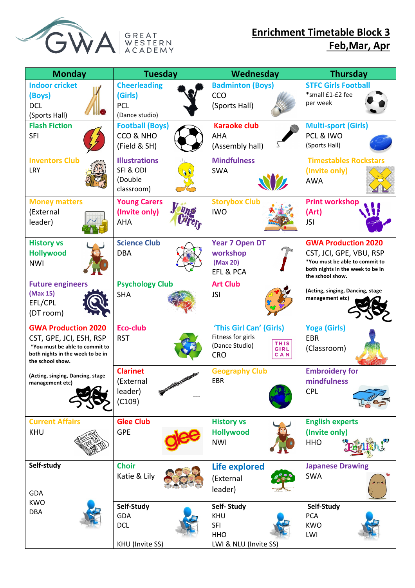



## **Enrichment Timetable Block 3 Feb,Mar, Apr**

| <b>Monday</b>                                                                                                                                   | <b>Tuesday</b>                                                 | Wednesday                                                                                                         | <b>Thursday</b>                                                                                                                                 |
|-------------------------------------------------------------------------------------------------------------------------------------------------|----------------------------------------------------------------|-------------------------------------------------------------------------------------------------------------------|-------------------------------------------------------------------------------------------------------------------------------------------------|
| <b>Indoor cricket</b><br>(Boys)<br><b>DCL</b><br>(Sports Hall)                                                                                  | <b>Cheerleading</b><br>(Girls)<br><b>PCL</b><br>(Dance studio) | <b>Badminton (Boys)</b><br>CCO<br>(Sports Hall)                                                                   | <b>STFC Girls Football</b><br>*small £1-£2 fee<br>per week                                                                                      |
| <b>Flash Fiction</b><br><b>SFI</b>                                                                                                              | <b>Football (Boys)</b><br>CCO & NHO<br>(Field & SH)            | <b>Karaoke club</b><br><b>AHA</b><br>(Assembly hall)                                                              | <b>Multi-sport (Girls)</b><br>PCL & IWO<br>(Sports Hall)                                                                                        |
| <b>Inventors Club</b><br>LRY                                                                                                                    | <b>Illustrations</b><br>SFI & ODI<br>(Double<br>classroom)     | <b>Mindfulness</b><br><b>SWA</b>                                                                                  | <b>Timestables Rockstars</b><br>(Invite only)<br><b>AWA</b>                                                                                     |
| <b>Money matters</b><br>(External<br>leader)                                                                                                    | <b>Young Carers</b><br>(Invite only)<br><b>AHA</b>             | <b>Storybox Club</b><br><b>IWO</b>                                                                                | <b>Print workshop</b><br>(Art)<br><b>JSI</b>                                                                                                    |
| <b>History vs</b><br><b>Hollywood</b><br><b>NWI</b>                                                                                             | <b>Science Club</b><br><b>DBA</b>                              | <b>Year 7 Open DT</b><br>workshop<br>(Max 20)<br>EFL & PCA                                                        | <b>GWA Production 2020</b><br>CST, JCI, GPE, VBU, RSP<br>*You must be able to commit to<br>both nights in the week to be in<br>the school show. |
| <b>Future engineers</b><br>(Max 15)<br>EFL/CPL<br>(DT room)                                                                                     | <b>Psychology Club</b><br><b>SHA</b>                           | <b>Art Club</b><br><b>JSI</b>                                                                                     | (Acting, singing, Dancing, stage<br>management etc)                                                                                             |
| <b>GWA Production 2020</b><br>CST, GPE, JCI, ESH, RSP<br>*You must be able to commit to<br>both nights in the week to be in<br>the school show. | Eco-club<br><b>RST</b>                                         | 'This Girl Can' (Girls)<br>Fitness for girls<br><b>THIS</b><br>(Dance Studio)<br>GIRL<br><b>CRO</b><br><b>CAN</b> | <b>Yoga (Girls)</b><br><b>EBR</b><br>(Classroom)                                                                                                |
| (Acting, singing, Dancing, stage<br>management etc)                                                                                             | <b>Clarinet</b><br>(External<br>leader)<br>(C109)              | <b>Geography Club</b><br><b>EBR</b>                                                                               | <b>Embroidery for</b><br>mindfulness<br><b>CPL</b>                                                                                              |
| <b>Current Affairs</b><br><b>KHU</b>                                                                                                            | <b>Glee Club</b><br><b>GPE</b>                                 | <b>History vs</b><br><b>Hollywood</b><br><b>NWI</b>                                                               | <b>English experts</b><br>(Invite only)<br><b>HHO</b>                                                                                           |
| Self-study<br><b>GDA</b>                                                                                                                        | <b>Choir</b><br>Katie & Lily                                   | Life explored<br>(External<br>leader)                                                                             | <b>Japanese Drawing</b><br><b>SWA</b>                                                                                                           |
| <b>KWO</b><br><b>DBA</b>                                                                                                                        | Self-Study<br><b>GDA</b><br><b>DCL</b><br>KHU (Invite SS)      | Self-Study<br>KHU<br><b>SFI</b><br><b>HHO</b><br>LWI & NLU (Invite SS)                                            | Self-Study<br><b>PCA</b><br><b>KWO</b><br>LWI                                                                                                   |